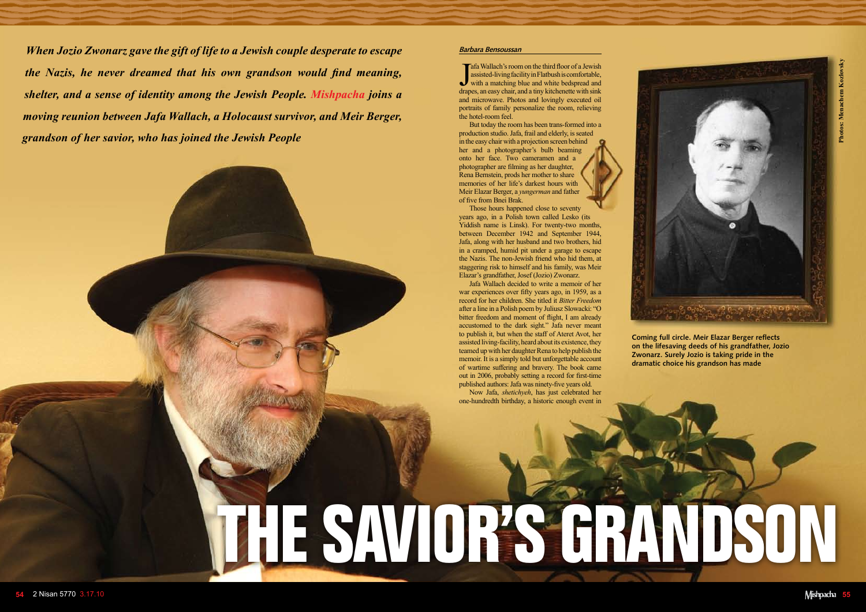

## **The Savior's Grandson**

## **Barbara Bensoussan**

 $\int_{\frac{d\tan x}{d\tan y}}$ afa Wallach's room on the third floor of a Jewish assisted-living facility in Flatbush is comfortable, with a matching blue and white bedspread and drapes, an easy chair, and a tiny kitchenette with sink and microwave. Photos and lovingly executed oil portraits of family personalize the room, relieving the hotel-room feel.

But today the room has been trans-formed into a production studio. Jafa, frail and elderly, is seated in the easy chair with a projection screen behind her and a photographer's bulb beaming onto her face. Two cameramen and a photographer are filming as her daughter, Rena Bernstein, prods her mother to share memories of her life's darkest hours with Meir Elazar Berger, a *yungerman* and father of five from Bnei Brak.

Those hours happened close to seventy years ago, in a Polish town called Lesko (its Yiddish name is Linsk). For twenty-two months, between December 1942 and September 1944, Jafa, along with her husband and two brothers, hid in a cramped, humid pit under a garage to escape the Nazis. The non-Jewish friend who hid them, at staggering risk to himself and his family, was Meir Elazar's grandfather, Josef (Jozio) Zwonarz.

Jafa Wallach decided to write a memoir of her war experiences over fifty years ago, in 1959, as a record for her children. She titled it *Bitter Freedom* after a line in a Polish poem by Juliusz Slowacki: "O bitter freedom and moment of flight, I am already accustomed to the dark sight." Jafa never meant to publish it, but when the staff of Ateret Avot, her assisted living-facility, heard about its existence, they teamed up with her daughter Rena to help publish the memoir. It is a simply told but unforgettable account of wartime suffering and bravery. The book came out in 2006, probably setting a record for first-time published authors: Jafa was ninety-five years old.

Now Jafa, *shetichyeh*, has just celebrated her one-hundredth birthday, a historic enough event in

**Coming full circle. Meir Elazar Berger reflects on the lifesaving deeds of his grandfather, Jozio Zwonarz. Surely Jozio is taking pride in the dramatic choice his grandson has made**



*When Jozio Zwonarz gave the gift of life to a Jewish couple desperate to escape the Nazis, he never dreamed that his own grandson would find meaning, shelter, and a sense of identity among the Jewish People. Mishpacha joins a moving reunion between Jafa Wallach, a Holocaust survivor, and Meir Berger, grandson of her savior, who has joined the Jewish People*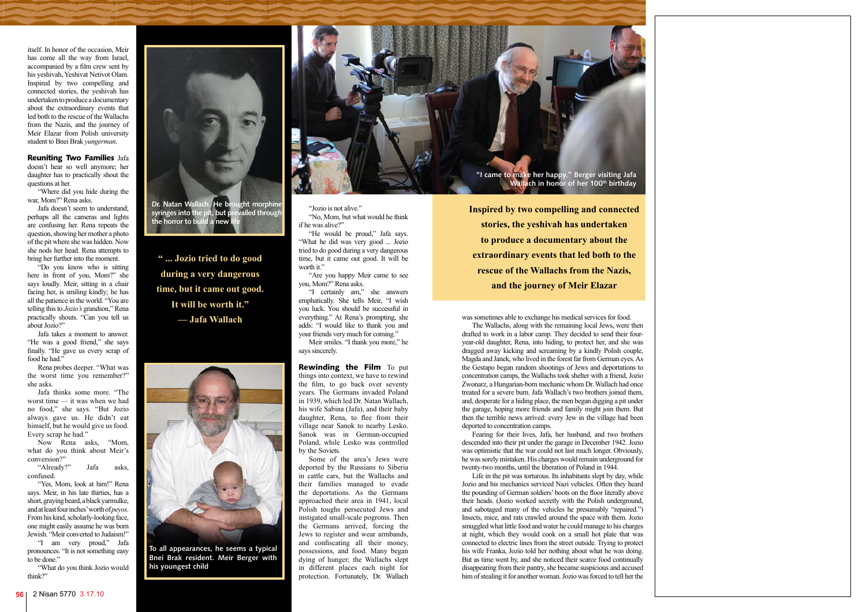

itself. In honor of the occasion, Meir has come all the way from Israel, accompanied by a film crew sent by his yeshivah, Yeshivat Netivot Olam. Inspired by two compelling and connected stories, the yeshivah has undertaken to produce a documentary about the extraordinary events that led both to the rescue of the Wallachs from the Nazis, and the journey of Meir Elazar from Polish university student to Bnei Brak *yungerman*.

Reuniting Two Families Jafa doesn't hear so well anymore; her daughter has to practically shout the questions at her.

Jafa takes a moment to answer. "He was a good friend," she says finally. "He gave us every scrap of food he had."

"Where did you hide during the war, Mom?" Rena asks.

Jafa doesn't seem to understand; perhaps all the cameras and lights are confusing her. Rena repeats the question, showing her mother a photo of the pit where she was hidden. Now she nods her head. Rena attempts to bring her further into the moment.

"Do you know who is sitting here in front of you, Mom?" she says loudly. Meir, sitting in a chair facing her, is smiling kindly; he has all the patience in the world. "You are telling this to *Jozio's* grandson," Rena practically shouts. "Can you tell us about Jozio?"

"He would be proud," Jafa says. "What he did was very good ... Jozio tried to do good during a very dangerous time, but it came out good. It will be worth it."

Rena probes deeper. "What was the worst time you remember?" she asks.

Jafa thinks some more. "The worst time — it was when we had no food," she says. "But Jozio always gave us. He didn't eat himself, but he would give us food. Every scrap he had."

Rewinding the Film To put things into context, we have to rewind the film, to go back over seventy years. The Germans invaded Poland in 1939, which led Dr. Natan Wallach, his wife Sabina (Jafa), and their baby daughter, Rena, to flee from their village near Sanok to nearby Lesko. Sanok was in German-occupied Poland, while Lesko was controlled by the Soviets.

Now Rena asks, "Mom, what do you think about Meir's conversion?"

"Already?" Jafa asks, confused.

"Yes, Mom, look at him!" Rena says. Meir, in his late thirties, has a short, graying beard, a black yarmulke, and at least four inches' worth of *peyos*. From his kind, scholarly-looking face, one might easily assume he was born Jewish. "Meir converted to Judaism!" "I am very proud," Jafa

pronounces. "It is not something easy to be done."

"What do you think Jozio would think?"

"Jozio is not alive." "No, Mom, but what would he think if he was alive?"

"Are you happy Meir came to see you, Mom?" Rena asks.

"I certainly am," she answers emphatically. She tells Meir, "I wish you luck. You should be successful in everything." At Rena's prompting, she adds: "I would like to thank you and your friends very much for coming."

Meir smiles. "I thank you more," he says sincerely.

Some of the area's Jews were deported by the Russians to Siberia in cattle cars, but the Wallachs and their families managed to evade the deportations. As the Germans approached their area in 1941, local Polish toughs persecuted Jews and instigated small-scale pogroms. Then the Germans arrived, forcing the Jews to register and wear armbands, and confiscating all their money, possessions, and food. Many began dying of hunger; the Wallachs slept in different places each night for protection. Fortunately, Dr. Wallach

**Inspired by two compelling and connected stories, the yeshivah has undertaken to produce a documentary about the extraordinary events that led both to the rescue of the Wallachs from the Nazis, and the journey of Meir Elazar**

was sometimes able to exchange his medical services for food.

The Wallachs, along with the remaining local Jews, were then drafted to work in a labor camp. They decided to send their fouryear-old daughter, Rena, into hiding, to protect her, and she was dragged away kicking and screaming by a kindly Polish couple, Magda and Janek, who lived in the forest far from German eyes. As the Gestapo began random shootings of Jews and deportations to concentration camps, the Wallachs took shelter with a friend, Jozio Zwonarz, a Hungarian-born mechanic whom Dr. Wallach had once treated for a severe burn. Jafa Wallach's two brothers joined them, and, desperate for a hiding place, the men began digging a pit under the garage, hoping more friends and family might join them. But then the terrible news arrived: every Jew in the village had been deported to concentration camps.

Fearing for their lives, Jafa, her husband, and two brothers descended into their pit under the garage in December 1942. Jozio was optimistic that the war could not last much longer. Obviously, he was sorely mistaken. His charges would remain underground for twenty-two months, until the liberation of Poland in 1944.

Life in the pit was torturous. Its inhabitants slept by day, while Jozio and his mechanics serviced Nazi vehicles. Often they heard the pounding of German soldiers' boots on the floor literally above their heads. (Jozio worked secretly with the Polish underground, and sabotaged many of the vehicles he presumably "repaired.") Insects, mice, and rats crawled around the space with them. Jozio smuggled what little food and water he could manage to his charges at night, which they would cook on a small hot plate that was connected to electric lines from the street outside. Trying to protect his wife Franka, Jozio told her nothing about what he was doing. But as time went by, and she noticed their scarce food continually disappearing from their pantry, she became suspicious and accused him of stealing it for another woman. Jozio was forced to tell her the



**syringes into the pit, but prevailed through the horror to build a new life**



**To all appearances, he seems a typical Bnei Brak resident. Meir Berger with his youngest child**



**" ... Jozio tried to do good during a very dangerous time, but it came out good. It will be worth it." — Jafa Wallach**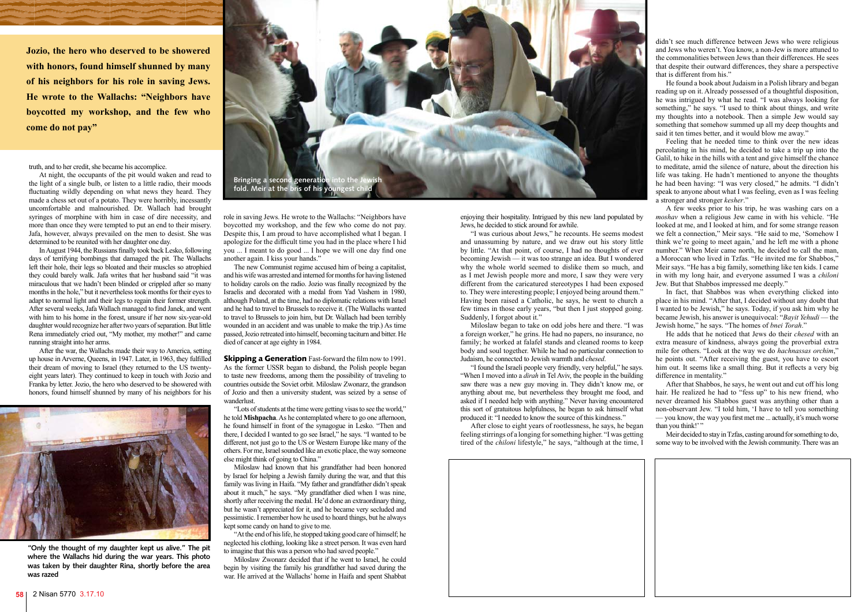truth, and to her credit, she became his accomplice.

At night, the occupants of the pit would waken and read to the light of a single bulb, or listen to a little radio, their moods fluctuating wildly depending on what news they heard. They made a chess set out of a potato. They were horribly, incessantly uncomfortable and malnourished. Dr. Wallach had brought syringes of morphine with him in case of dire necessity, and more than once they were tempted to put an end to their misery. Jafa, however, always prevailed on the men to desist. She was determined to be reunited with her daughter one day.

In August 1944, the Russians finally took back Lesko, following days of terrifying bombings that damaged the pit. The Wallachs left their hole, their legs so bloated and their muscles so atrophied they could barely walk. Jafa writes that her husband said "it was miraculous that we hadn't been blinded or crippled after so many months in the hole," but it nevertheless took months for their eyes to adapt to normal light and their legs to regain their former strength. After several weeks, Jafa Wallach managed to find Janek, and went with him to his home in the forest, unsure if her now six-year-old daughter would recognize her after two years of separation. But little Rena immediately cried out, "My mother, my mother!" and came running straight into her arms.

> **Skipping a Generation** Fast-forward the film now to 1991. As the former USSR began to disband, the Polish people began to taste new freedoms, among them the possibility of traveling to countries outside the Soviet orbit. Miloslaw Zwonarz, the grandson of Jozio and then a university student, was seized by a sense of wanderlust.

After the war, the Wallachs made their way to America, setting up house in Arverne, Queens, in 1947. Later, in 1963, they fulfilled their dream of moving to Israel (they returned to the US twentyeight years later). They continued to keep in touch with Jozio and Franka by letter. Jozio, the hero who deserved to be showered with honors, found himself shunned by many of his neighbors for his



role in saving Jews. He wrote to the Wallachs: "Neighbors have boycotted my workshop, and the few who come do not pay. Despite this, I am proud to have accomplished what I began. I apologize for the difficult time you had in the place where I hid you ... I meant to do good ... I hope we will one day find one another again. I kiss your hands."

The new Communist regime accused him of being a capitalist, and his wife was arrested and interned for months for having listened to holiday carols on the radio. Jozio was finally recognized by the Israelis and decorated with a medal from Yad Vashem in 1980, although Poland, at the time, had no diplomatic relations with Israel and he had to travel to Brussels to receive it. (The Wallachs wanted to travel to Brussels to join him, but Dr. Wallach had been terribly wounded in an accident and was unable to make the trip.) As time passed, Jozio retreated into himself, becoming taciturn and bitter. He died of cancer at age eighty in 1984.

He found a book about Judaism in a Polish library and began reading up on it. Already possessed of a thoughtful disposition, he was intrigued by what he read. "I was always looking for something," he says. "I used to think about things, and write my thoughts into a notebook. Then a simple Jew would say something that somehow summed up all my deep thoughts and said it ten times better, and it would blow me away."

"Lots of students at the time were getting visas to see the world," he told **Mishpacha**. As he contemplated where to go one afternoon, he found himself in front of the synagogue in Lesko. "Then and there, I decided I wanted to go see Israel," he says. "I wanted to be different, not just go to the US or Western Europe like many of the others. For me, Israel sounded like an exotic place, the way someone else might think of going to China."

Miloslaw had known that his grandfather had been honored by Israel for helping a Jewish family during the war, and that this family was living in Haifa. "My father and grandfather didn't speak about it much," he says. "My grandfather died when I was nine, shortly after receiving the medal. He'd done an extraordinary thing, but he wasn't appreciated for it, and he became very secluded and pessimistic. I remember how he used to hoard things, but he always kept some candy on hand to give to me.

"At the end of his life, he stopped taking good care of himself; he neglected his clothing, looking like a street person. It was even hard to imagine that this was a person who had saved people."

Miloslaw Zwonarz decided that if he went to Israel, he could begin by visiting the family his grandfather had saved during the war. He arrived at the Wallachs' home in Haifa and spent Shabbat

After that Shabbos, he says, he went out and cut off his long hair. He realized he had to "fess up" to his new friend, who never dreamed his Shabbos guest was anything other than a non-observant Jew. "I told him, 'I have to tell you something — you know, the way you first met me ... actually, it's much worse than you think!"

**Jozio, the hero who deserved to be showered with honors, found himself shunned by many of his neighbors for his role in saving Jews. He wrote to the Wallachs: "Neighbors have boycotted my workshop, and the few who come do not pay"** 

> enjoying their hospitality. Intrigued by this new land populated by Jews, he decided to stick around for awhile.

> "I was curious about Jews," he recounts. He seems modest and unassuming by nature, and we draw out his story little by little. "At that point, of course, I had no thoughts of ever becoming Jewish — it was too strange an idea. But I wondered why the whole world seemed to dislike them so much, and as I met Jewish people more and more, I saw they were very different from the caricatured stereotypes I had been exposed to. They were interesting people; I enjoyed being around them." Having been raised a Catholic, he says, he went to church a few times in those early years, "but then I just stopped going. Suddenly, I forgot about it."

> Miloslaw began to take on odd jobs here and there. "I was a foreign worker," he grins. He had no papers, no insurance, no family; he worked at falafel stands and cleaned rooms to keep body and soul together. While he had no particular connection to Judaism, he connected to Jewish warmth and *chesed*.

> "I found the Israeli people very friendly, very helpful," he says. "When I moved into a *dirah* in Tel Aviv, the people in the building saw there was a new guy moving in. They didn't know me, or anything about me, but nevertheless they brought me food, and asked if I needed help with anything." Never having encountered this sort of gratuitous helpfulness, he began to ask himself what produced it: "I needed to know the source of this kindness."

> After close to eight years of rootlessness, he says, he began feeling stirrings of a longing for something higher. "I was getting tired of the *chiloni* lifestyle," he says, "although at the time, I



didn't see much difference between Jews who were religious and Jews who weren't. You know, a non-Jew is more attuned to the commonalities between Jews than their differences. He sees that despite their outward differences, they share a perspective that is different from his."

Feeling that he needed time to think over the new ideas percolating in his mind, he decided to take a trip up into the Galil, to hike in the hills with a tent and give himself the chance to meditate, amid the silence of nature, about the direction his life was taking. He hadn't mentioned to anyone the thoughts he had been having: "I was very closed," he admits. "I didn't speak to anyone about what I was feeling, even as I was feeling a stronger and stronger *kesher*."

A few weeks prior to his trip, he was washing cars on a *moshav* when a religious Jew came in with his vehicle. "He looked at me, and I looked at him, and for some strange reason we felt a connection," Meir says. "He said to me, 'Somehow I think we're going to meet again,' and he left me with a phone number." When Meir came north, he decided to call the man, a Moroccan who lived in Tzfas. "He invited me for Shabbos," Meir says. "He has a big family, something like ten kids. I came in with my long hair, and everyone assumed I was a *chiloni* Jew. But that Shabbos impressed me deeply."

In fact, that Shabbos was when everything clicked into place in his mind. "After that, I decided without any doubt that I wanted to be Jewish," he says. Today, if you ask him why he became Jewish, his answer is unequivocal: "*Bayit Yehudi* — the Jewish home," he says. "The homes of *bnei Torah*."

He adds that he noticed that Jews do their *chesed* with an extra measure of kindness, always going the proverbial extra mile for others. "Look at the way we do *hachnassas orchim*," he points out. "After receiving the guest, you have to escort him out. It seems like a small thing. But it reflects a very big difference in mentality."

Meir decided to stay in Tzfas, casting around for something to do, some way to be involved with the Jewish community. There was an

**"Only the thought of my daughter kept us alive." The pit where the Wallachs hid during the war years. This photo was taken by their daughter Rina, shortly before the area was razed**